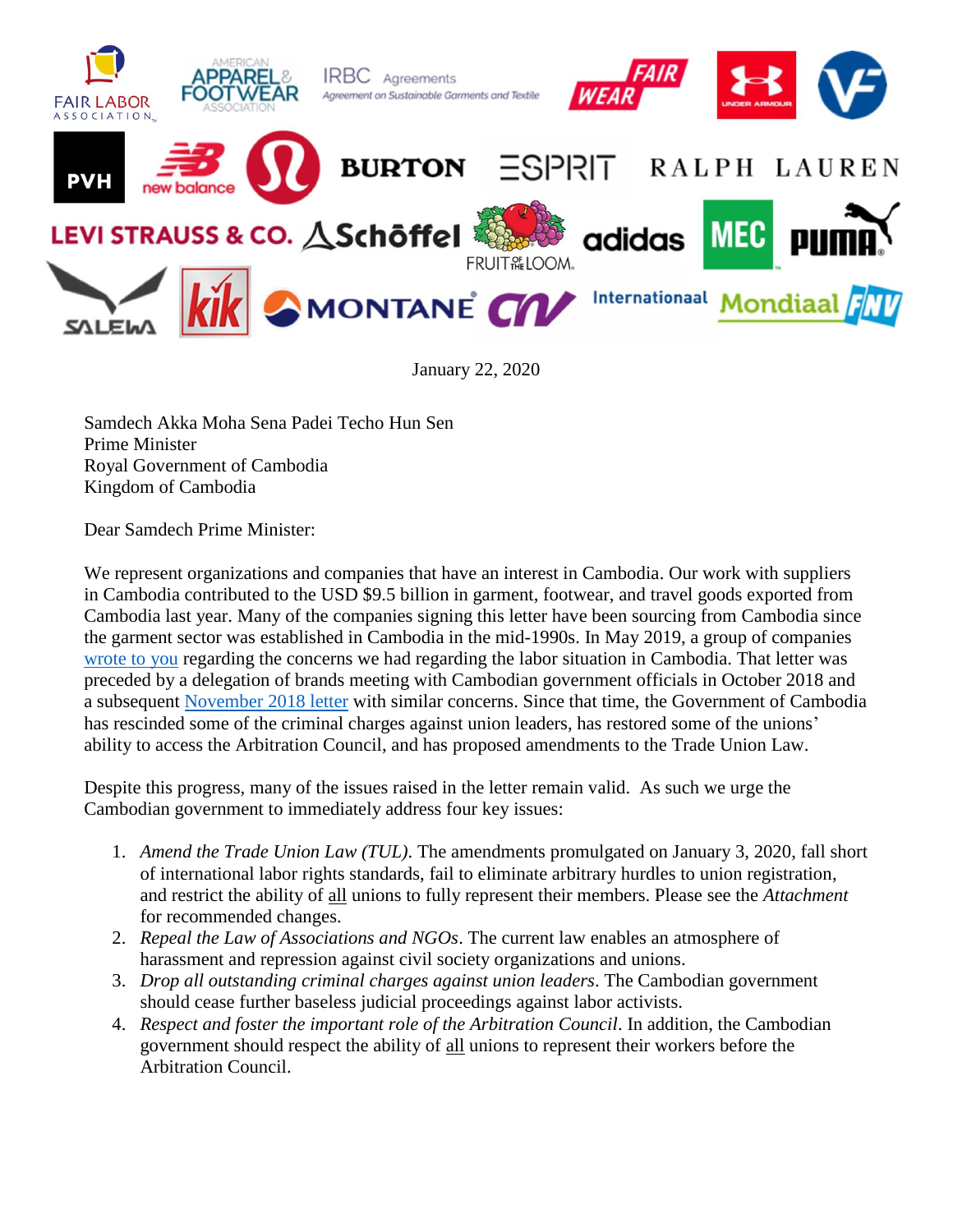

January 22, 2020

Samdech Akka Moha Sena Padei Techo Hun Sen Prime Minister Royal Government of Cambodia Kingdom of Cambodia

Dear Samdech Prime Minister:

We represent organizations and companies that have an interest in Cambodia. Our work with suppliers in Cambodia contributed to the USD \$9.5 billion in garment, footwear, and travel goods exported from Cambodia last year. Many of the companies signing this letter have been sourcing from Cambodia since the garment sector was established in Cambodia in the mid-1990s. In May 2019, a group of companies [wrote to you](https://www.fairlabor.org/blog/entry/21-companies-sourcing-cambodia-express-concerns-about-labor-and-human-rights) regarding the concerns we had regarding the labor situation in Cambodia. That letter was preceded by a delegation of brands meeting with Cambodian government officials in October 2018 and a subsequent [November 2018 letter](https://www.fairlabor.org/sites/default/files/cambodia_delegation_thank_you_moef-moc-mol_181101_0.pdf) with similar concerns. Since that time, the Government of Cambodia has rescinded some of the criminal charges against union leaders, has restored some of the unions' ability to access the Arbitration Council, and has proposed amendments to the Trade Union Law.

Despite this progress, many of the issues raised in the letter remain valid. As such we urge the Cambodian government to immediately address four key issues:

- 1. *Amend the Trade Union Law (TUL)*. The amendments promulgated on January 3, 2020, fall short of international labor rights standards, fail to eliminate arbitrary hurdles to union registration, and restrict the ability of all unions to fully represent their members. Please see the *Attachment*  for recommended changes.
- 2. *Repeal the Law of Associations and NGOs*. The current law enables an atmosphere of harassment and repression against civil society organizations and unions.
- 3. *Drop all outstanding criminal charges against union leaders*. The Cambodian government should cease further baseless judicial proceedings against labor activists.
- 4. *Respect and foster the important role of the Arbitration Council*. In addition, the Cambodian government should respect the ability of all unions to represent their workers before the Arbitration Council.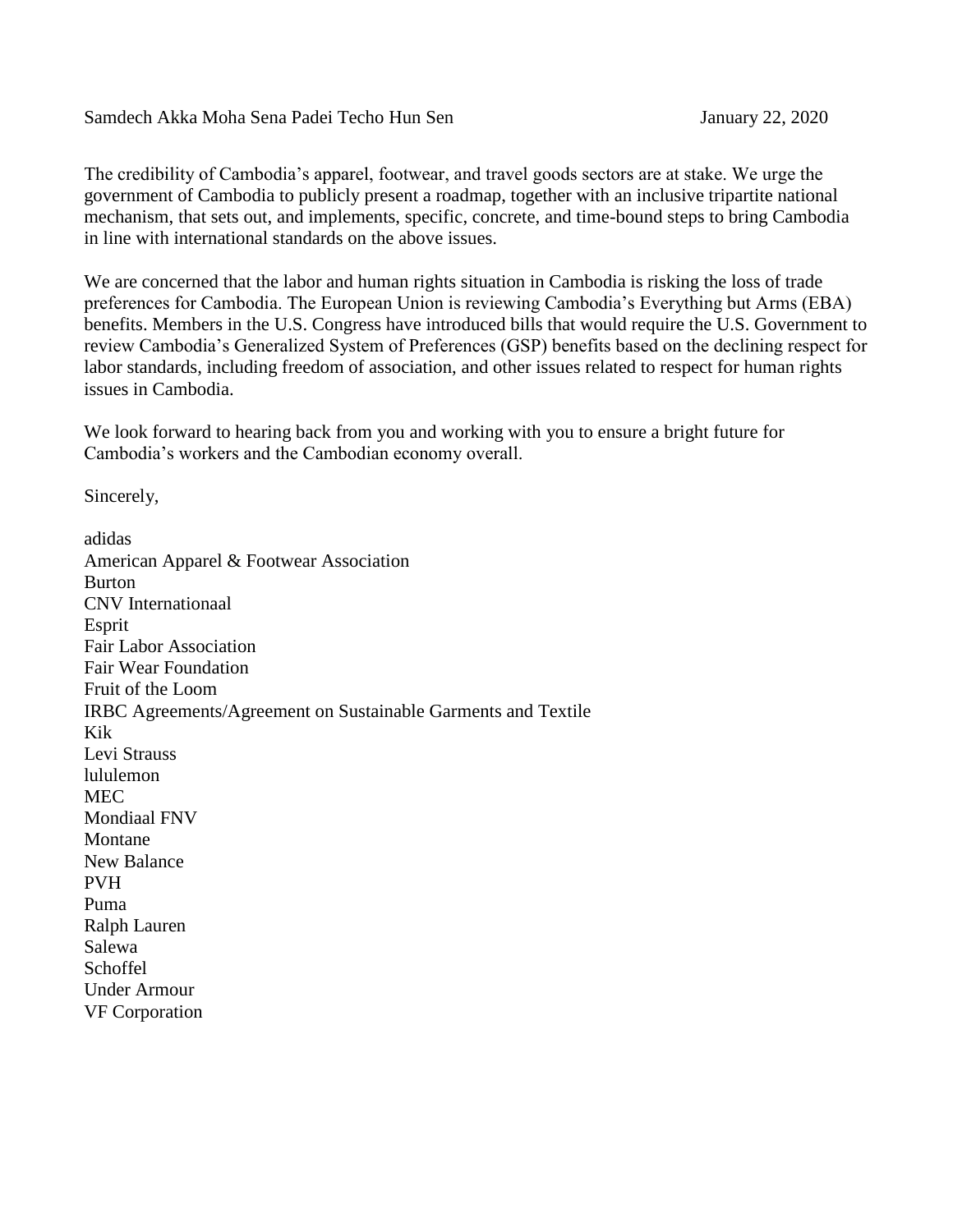## Samdech Akka Moha Sena Padei Techo Hun Sen January 22, 2020

The credibility of Cambodia's apparel, footwear, and travel goods sectors are at stake. We urge the government of Cambodia to publicly present a roadmap, together with an inclusive tripartite national mechanism, that sets out, and implements, specific, concrete, and time-bound steps to bring Cambodia in line with international standards on the above issues.

We are concerned that the labor and human rights situation in Cambodia is risking the loss of trade preferences for Cambodia. The European Union is reviewing Cambodia's Everything but Arms (EBA) benefits. Members in the U.S. Congress have introduced bills that would require the U.S. Government to review Cambodia's Generalized System of Preferences (GSP) benefits based on the declining respect for labor standards, including freedom of association, and other issues related to respect for human rights issues in Cambodia.

We look forward to hearing back from you and working with you to ensure a bright future for Cambodia's workers and the Cambodian economy overall.

Sincerely,

adidas American Apparel & Footwear Association Burton CNV Internationaal Esprit Fair Labor Association Fair Wear Foundation Fruit of the Loom IRBC Agreements/Agreement on Sustainable Garments and Textile Kik Levi Strauss lululemon MEC Mondiaal FNV Montane New Balance PVH Puma Ralph Lauren Salewa Schoffel Under Armour VF Corporation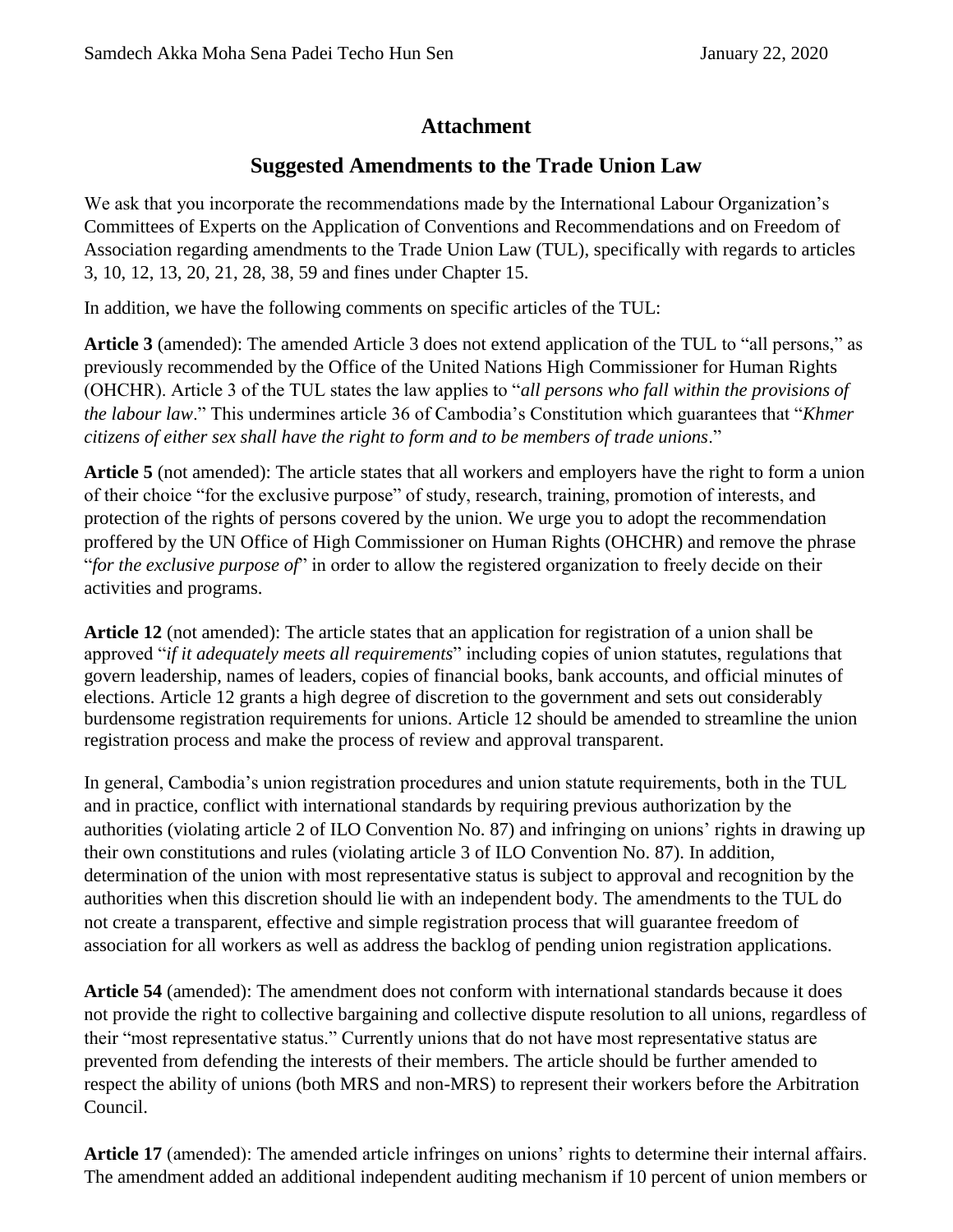## **Attachment**

## **Suggested Amendments to the Trade Union Law**

We ask that you incorporate the recommendations made by the International Labour Organization's Committees of Experts on the Application of Conventions and Recommendations and on Freedom of Association regarding amendments to the Trade Union Law (TUL), specifically with regards to articles 3, 10, 12, 13, 20, 21, 28, 38, 59 and fines under Chapter 15.

In addition, we have the following comments on specific articles of the TUL:

**Article 3** (amended): The amended Article 3 does not extend application of the TUL to "all persons," as previously recommended by the Office of the United Nations High Commissioner for Human Rights (OHCHR). Article 3 of the TUL states the law applies to "*all persons who fall within the provisions of the labour law*." This undermines article 36 of Cambodia's Constitution which guarantees that "*Khmer citizens of either sex shall have the right to form and to be members of trade unions*."

**Article 5** (not amended): The article states that all workers and employers have the right to form a union of their choice "for the exclusive purpose" of study, research, training, promotion of interests, and protection of the rights of persons covered by the union. We urge you to adopt the recommendation proffered by the UN Office of High Commissioner on Human Rights (OHCHR) and remove the phrase "*for the exclusive purpose of*" in order to allow the registered organization to freely decide on their activities and programs.

**Article 12** (not amended): The article states that an application for registration of a union shall be approved "*if it adequately meets all requirements*" including copies of union statutes, regulations that govern leadership, names of leaders, copies of financial books, bank accounts, and official minutes of elections. Article 12 grants a high degree of discretion to the government and sets out considerably burdensome registration requirements for unions. Article 12 should be amended to streamline the union registration process and make the process of review and approval transparent.

In general, Cambodia's union registration procedures and union statute requirements, both in the TUL and in practice, conflict with international standards by requiring previous authorization by the authorities (violating article 2 of ILO Convention No. 87) and infringing on unions' rights in drawing up their own constitutions and rules (violating article 3 of ILO Convention No. 87). In addition, determination of the union with most representative status is subject to approval and recognition by the authorities when this discretion should lie with an independent body. The amendments to the TUL do not create a transparent, effective and simple registration process that will guarantee freedom of association for all workers as well as address the backlog of pending union registration applications.

**Article 54** (amended): The amendment does not conform with international standards because it does not provide the right to collective bargaining and collective dispute resolution to all unions, regardless of their "most representative status." Currently unions that do not have most representative status are prevented from defending the interests of their members. The article should be further amended to respect the ability of unions (both MRS and non-MRS) to represent their workers before the Arbitration Council.

**Article 17** (amended): The amended article infringes on unions' rights to determine their internal affairs. The amendment added an additional independent auditing mechanism if 10 percent of union members or